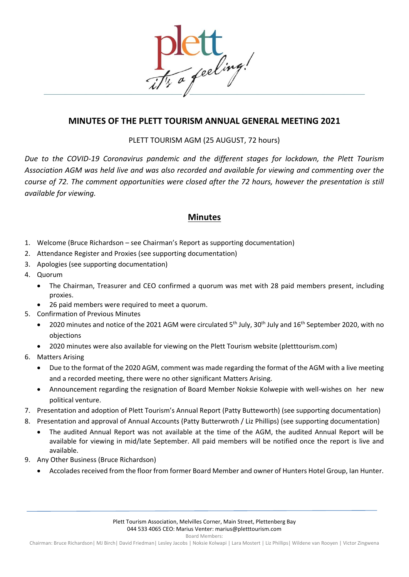

## **MINUTES OF THE PLETT TOURISM ANNUAL GENERAL MEETING 2021**

PLETT TOURISM AGM (25 AUGUST, 72 hours)

*Due to the COVID-19 Coronavirus pandemic and the different stages for lockdown, the Plett Tourism Association AGM was held live and was also recorded and available for viewing and commenting over the course of 72. The comment opportunities were closed after the 72 hours, however the presentation is still available for viewing.*

## **Minutes**

- 1. Welcome (Bruce Richardson see Chairman's Report as supporting documentation)
- 2. Attendance Register and Proxies (see supporting documentation)
- 3. Apologies (see supporting documentation)
- 4. Quorum
	- The Chairman, Treasurer and CEO confirmed a quorum was met with 28 paid members present, including proxies.
	- 26 paid members were required to meet a quorum.
- 5. Confirmation of Previous Minutes
	- 2020 minutes and notice of the 2021 AGM were circulated  $5<sup>th</sup>$  July, 30<sup>th</sup> July and 16<sup>th</sup> September 2020, with no objections
	- 2020 minutes were also available for viewing on the Plett Tourism website (pletttourism.com)
- 6. Matters Arising
	- Due to the format of the 2020 AGM, comment was made regarding the format of the AGM with a live meeting and a recorded meeting, there were no other significant Matters Arising.
	- Announcement regarding the resignation of Board Member Noksie Kolwepie with well-wishes on her new political venture.
- 7. Presentation and adoption of Plett Tourism's Annual Report (Patty Butteworth) (see supporting documentation)
- 8. Presentation and approval of Annual Accounts (Patty Butterwroth / Liz Phillips) (see supporting documentation)
	- The audited Annual Report was not available at the time of the AGM, the audited Annual Report will be available for viewing in mid/late September. All paid members will be notified once the report is live and available.
- 9. Any Other Business (Bruce Richardson)
	- Accolades received from the floor from former Board Member and owner of Hunters Hotel Group, Ian Hunter.

Board Members: